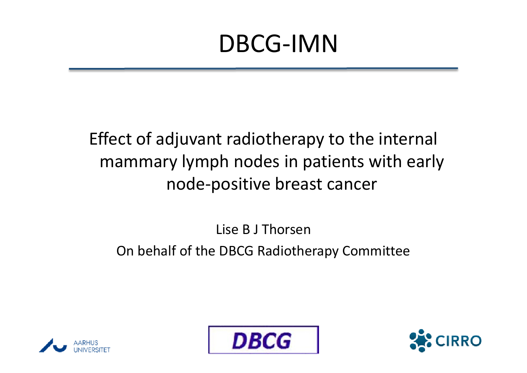Effect of adjuvant radiotherapy to the internal mammary lymph nodes in patients with early node-positive breast cancer

Lise B J Thorsen

On behalf of the DBCG Radiotherapy Committee





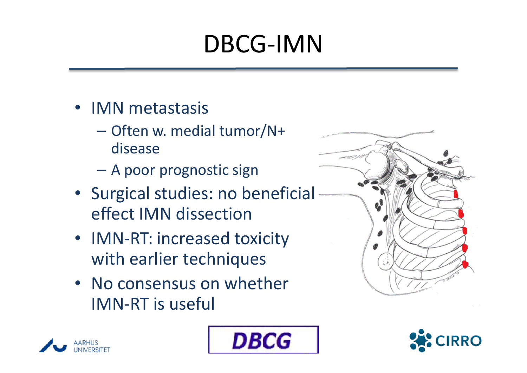- IMN metastasis
	- Often w. medial tumor/N+ disease
	- A poor prognostic sign
- Surgical studies: no beneficial effect IMN dissection
- IMN-RT: increased toxicity with earlier techniques
- No consensus on whether IMN-RT is useful







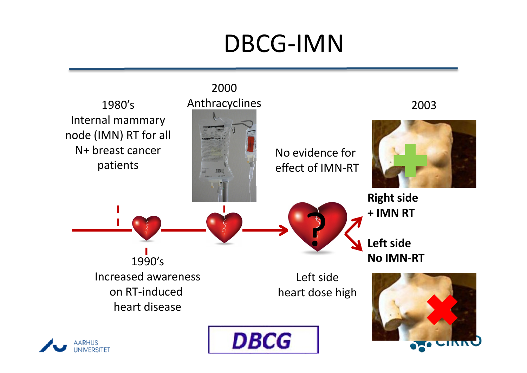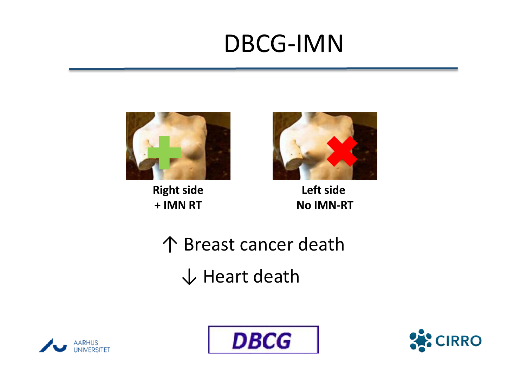

**Right side** + IMN RT



Left side No IMN-RT

↑ Breast cancer death↓ Heart death





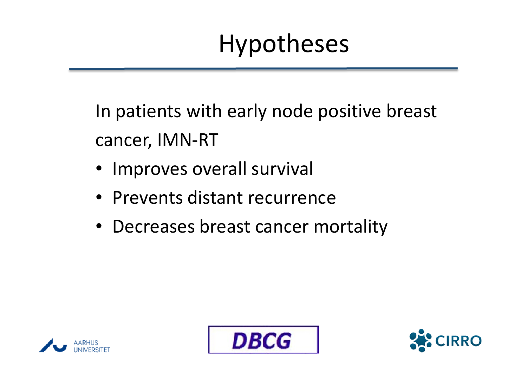# Hypotheses

In patients with early node positive breast cancer, IMN-RT

- Improves overall survival
- Prevents distant recurrence
- Decreases breast cancer mortality





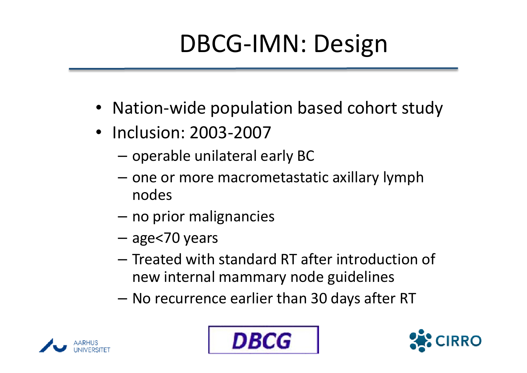# DBCG-IMN: Design

- Nation-wide population based cohort study
- Inclusion: 2003-2007
	- operable unilateral early BC
	- –- one or more macrometastatic axillary lymph nodes
	- $-$  no prior malignancies
	- –age<70 years
	- –- Treated with standard RT after introduction of new internal mammary node guidelines
	- –No recurrence earlier than 30 days after RT





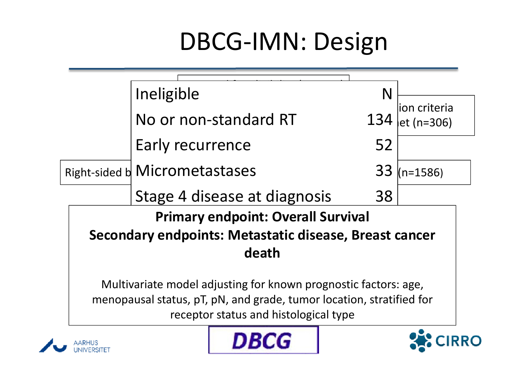# DBCG-IMN: Design

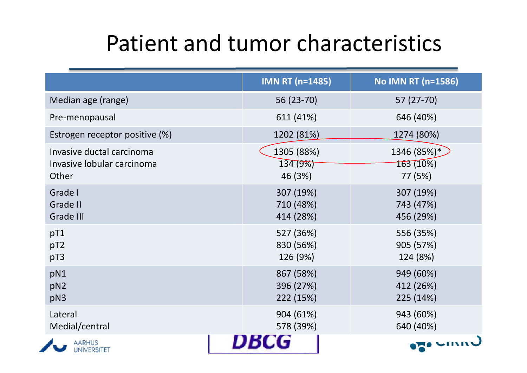#### Patient and tumor characteristics

|                                                                  | <b>IMN RT (n=1485)</b>              | <b>No IMN RT (n=1586)</b>           |
|------------------------------------------------------------------|-------------------------------------|-------------------------------------|
| Median age (range)                                               | 56 (23-70)                          | 57 (27-70)                          |
| Pre-menopausal                                                   | 611 (41%)                           | 646 (40%)                           |
| Estrogen receptor positive (%)                                   | 1202 (81%)                          | 1274 (80%)                          |
| Invasive ductal carcinoma<br>Invasive lobular carcinoma<br>Other | 1305 (88%)<br>134 (9%)<br>46 (3%)   | 1346 (85%)*<br>163 (10%)<br>77 (5%) |
| Grade I<br><b>Grade II</b><br><b>Grade III</b>                   | 307 (19%)<br>710 (48%)<br>414 (28%) | 307 (19%)<br>743 (47%)<br>456 (29%) |
| pT1<br>pT2<br>pT3                                                | 527 (36%)<br>830 (56%)<br>126 (9%)  | 556 (35%)<br>905 (57%)<br>124 (8%)  |
| pN1<br>pN2<br>pN3                                                | 867 (58%)<br>396 (27%)<br>222 (15%) | 949 (60%)<br>412 (26%)<br>225 (14%) |
| Lateral<br>Medial/central                                        | 904 (61%)<br>578 (39%)              | 943 (60%)<br>640 (40%)              |
| <b>AARHUS</b><br><b>UNIVERSITET</b>                              |                                     |                                     |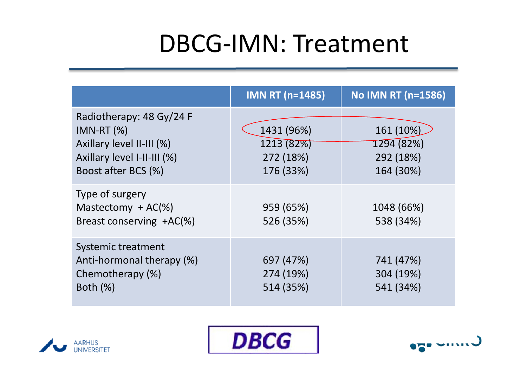## DBCG-IMN: Treatment

|                                                                                                                            | <b>IMN RT (n=1485)</b>                             | <b>No IMN RT (n=1586)</b>                         |
|----------------------------------------------------------------------------------------------------------------------------|----------------------------------------------------|---------------------------------------------------|
| Radiotherapy: 48 Gy/24 F<br>$IMN-RT(%)$<br>Axillary level II-III (%)<br>Axillary level I-II-III (%)<br>Boost after BCS (%) | 1431 (96%)<br>1213 (82%)<br>272 (18%)<br>176 (33%) | 161 (10%)<br>1294 (82%)<br>292 (18%)<br>164 (30%) |
| Type of surgery<br>Mastectomy $+ AC(% \theta)$<br>Breast conserving +AC(%)                                                 | 959 (65%)<br>526 (35%)                             | 1048 (66%)<br>538 (34%)                           |
| Systemic treatment<br>Anti-hormonal therapy (%)<br>Chemotherapy (%)<br>Both $(\%)$                                         | 697 (47%)<br>274 (19%)<br>514 (35%)                | 741 (47%)<br>304 (19%)<br>541 (34%)               |





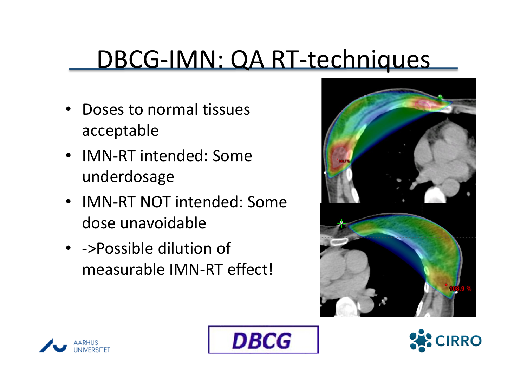#### DBCG-IMN: QA RT-techniques

- • Doses to normal tissuesacceptable
- IMN-RT intended: Someunderdosage
- IMN-RT NOT intended: Somedose unavoidable
- ->Possible dilution of measurable IMN-RT effect!







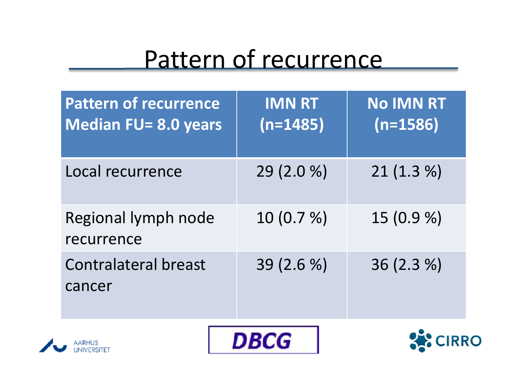#### Pattern of recurrence

| <b>Pattern of recurrence</b><br><b>Median FU= 8.0 years</b> | <b>IMN RT</b><br>$(n=1485)$ | <b>No IMN RT</b><br>$(n=1586)$ |
|-------------------------------------------------------------|-----------------------------|--------------------------------|
| Local recurrence                                            | 29 (2.0 %)                  | 21(1.3%)                       |
| Regional lymph node<br>recurrence                           | 10(0.7%)                    | 15 (0.9 %)                     |
| <b>Contralateral breast</b><br>cancer                       | 39 (2.6 %)                  | 36 (2.3 %)                     |
|                                                             |                             |                                |





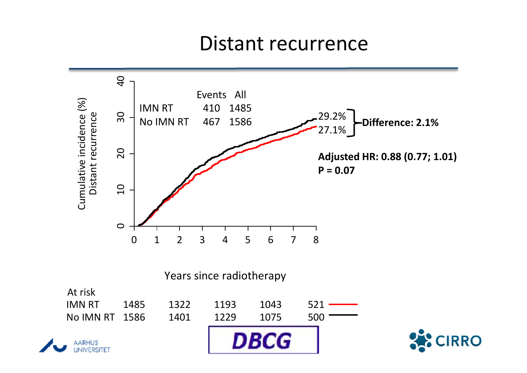#### Distant recurrence

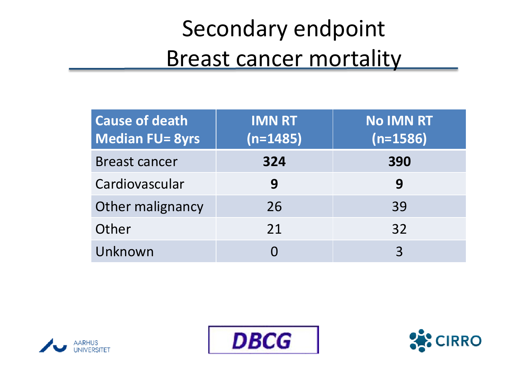## Secondary endpoint **Breast cancer mortality**

| <b>Cause of death</b><br><b>Median FU= 8yrs</b> | <b>IMN RT</b><br>$(n=1485)$ | <b>No IMN RT</b><br>$(n=1586)$ |
|-------------------------------------------------|-----------------------------|--------------------------------|
| <b>Breast cancer</b>                            | 324                         | 390                            |
| Cardiovascular                                  | 9                           | 9                              |
| Other malignancy                                | 26                          | 39                             |
| Other                                           | 21                          | 32                             |
| Unknown                                         |                             | 3                              |





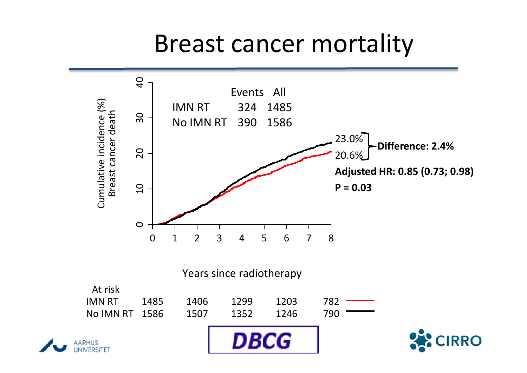#### Breast cancer mortality

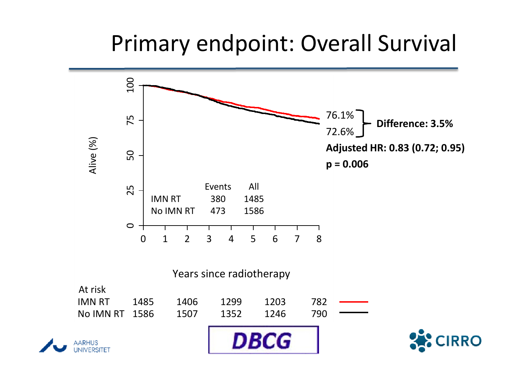#### Primary endpoint: Overall Survival

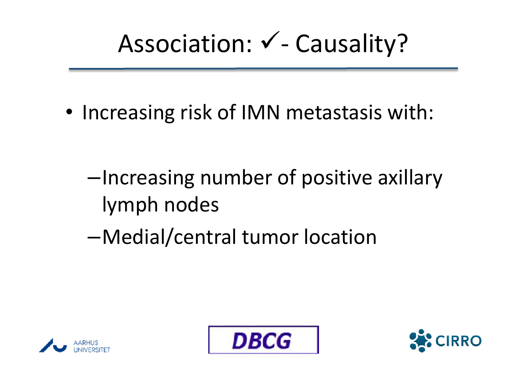# Association:  $\checkmark$  - Causality?

- Increasing risk of IMN metastasis with:
	- –Increasing number of positive axillary lymph nodes
	- –Medial/central tumor location





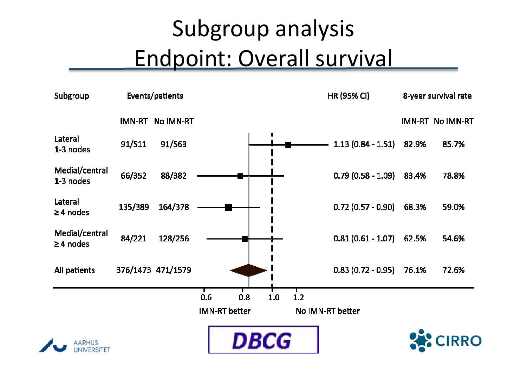## Subgroup analysisEndpoint: Overall survival

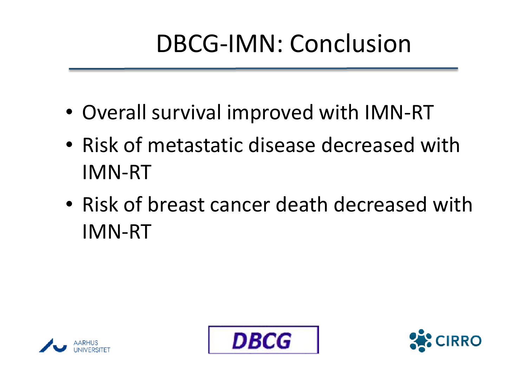# DBCG-IMN: Conclusion

- Overall survival improved with IMN-RT
- Risk of metastatic disease decreased with IMN-RT
- Risk of breast cancer death decreased with IMN-RT





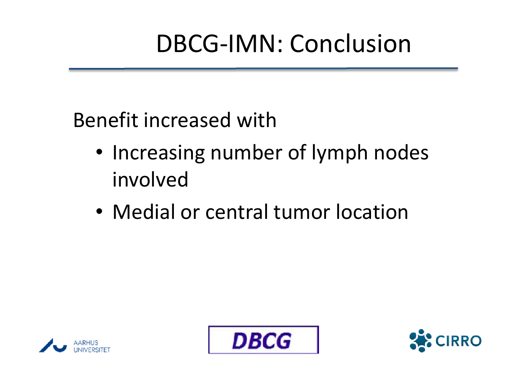# DBCG-IMN: Conclusion

Benefit increased with

- Increasing number of lymph nodes involved
- Medial or central tumor location





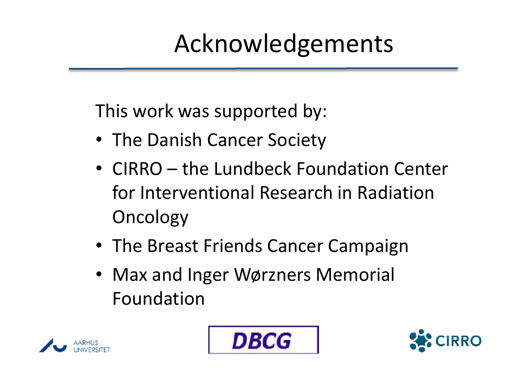# Acknowledgements

This work was supported by:

- The Danish Cancer Society
- CIRRO the Lundbeck Foundation Center for Interventional Research in Radiation **Oncology**
- The Breast Friends Cancer Campaign
- Max and Inger Wørzners Memorial Foundation





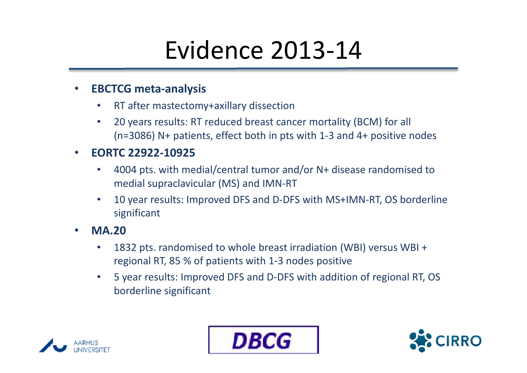## Evidence 2013-14

#### •EBCTCG meta-analysis

- •RT after mastectomy+axillary dissection
- • 20 years results: RT reduced breast cancer mortality (BCM) for all (n=3086) N+ patients, effect both in pts with 1-3 and 4+ positive nodes

#### •EORTC 22922-10925

- • 4004 pts. with medial/central tumor and/or N+ disease randomised to medial supraclavicular (MS) and IMN-RT
- • 10 year results: Improved DFS and D-DFS with MS+IMN-RT, OS borderline significant
- • MA.20
	- • 1832 pts. randomised to whole breast irradiation (WBI) versus WBI + regional RT, 85 % of patients with 1-3 nodes positive
	- $\bullet$  5 year results: Improved DFS and D-DFS with addition of regional RT, OS borderline significant